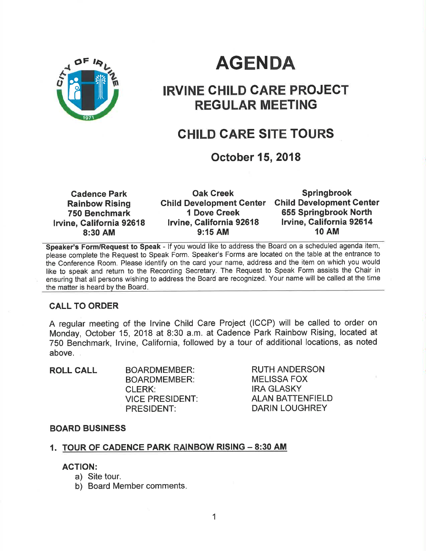

# AGENDA

# IRVINE CHILD CARE PROJECT REGULAR MEETING

# CHILD GARE SITE TOURS

# October 15,2018

| <b>Cadence Park</b>      | <b>Oak Creek</b>                | <b>Springbrook</b>              |
|--------------------------|---------------------------------|---------------------------------|
| <b>Rainbow Rising</b>    | <b>Child Development Center</b> | <b>Child Development Center</b> |
| 750 Benchmark            | <b>1 Dove Creek</b>             | 655 Springbrook North           |
| Irvine, California 92618 | <b>Irvine, California 92618</b> | Irvine, California 92614        |
| 8:30 AM                  | $9:15$ AM                       | <b>10 AM</b>                    |

Speaker's Form/Request to Speak - If you would like to address the Board on a scheduled agenda item, please complete the Request to Speak Form. Speaker's Forms are located on the table at the entrance to the Conference Room. Please identify on the card your name, address and the item on which you would like to speak and return to the Recording Secretary. The Request to Speak Form assists the Chair in ensuring that all persons wishing to address the Board are recognized. Your name will be called at the time the matter is heard by the Board

### CALL TO ORDER

A regular meeting of the lrvine Child Care Project (ICCP) will be called to order on Monday, October 15,2018 at 8:30 a.m. at Cadence Park Rainbow Rising, located at 750 Benchmark, lrvine, California, followed by a tour of additional locations, as noted above.

| <b>ROLL CALL</b> | <b>BOARDMEMBER:</b>    |
|------------------|------------------------|
|                  | <b>BOARDMEMBER:</b>    |
|                  | <b>CLERK:</b>          |
|                  | <b>VICE PRESIDENT:</b> |
|                  | <b>PRESIDENT:</b>      |

RUTH ANDERSON MELISSA FOX IRA GLASKY ALAN BATTENFIELD DARIN LOUGHREY

### BOARD BUSINESS

# 1. <u>TOUR OF CADENCE PARK RAINBOW RISING – 8:30 AM</u>

### AGTION:

- a) Site tour.
- b) Board Member comments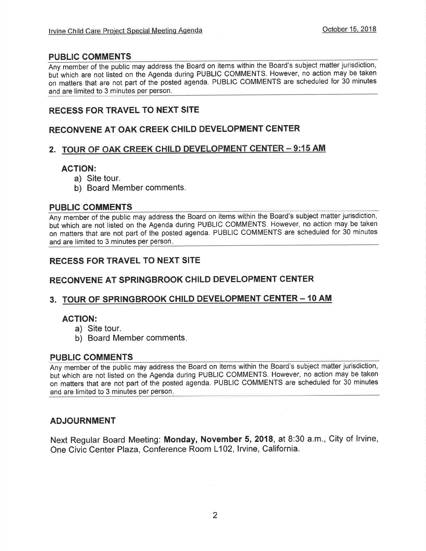### PUBLIC COMMENTS

Any member of the public may address the Board on items within the Board's subject matter jurisdiction, but which are not listed on the Agenda during PUBLIC COMMENTS. However, no action may be taken on matters that are not part of the posted agenda. PUBLIC COMME NTS are scheduled for 30 minutes and are limited to 3 minutes per person

### RECESS FOR TRAVEL TO NEXT SITE

### RECONVENE AT OAK CREEK CHILD DEVELOPMENT CENTER

### 2. TOUR OF OAK CREEK CHILD DEVELOPMENT CENTER - 9:15 AM

### AGTION:

- a) Site tour.
- b) Board Member comments.

### PUBLIC COMMENTS

Any member of the public may address the Board on items within the Board's subject matter jurisdiction but which are not listed on the Agenda during PUBLIC COMMENTS. However, no action may be taken on matters that are not part of the posted agenda. PUBLIC COMMENTS are scheduled for 30 minutes and are limited to 3 minutes per person

## RECESS FOR TRAVEL TO NEXT SITE

### RECONVENE AT SPRINGBROOK CHILD DEVELOPMENT CENTER

### 3. TOUR OF SPRINGBROOK CHILD DEVELOPMENT CENTER - 10 AM

### AGTION:

- a) Site tour.
- b) Board Member comments

### PUBLIC COMMENTS

Any member of the public may address the Board on items within the Board's subject matter jurisdiction, bui which are not listed on the Agenda during PUBLIC COMMENTS. However, no action may be taken on matters that are not part of the posted agenda. PUBLIC COMMENTS are scheduled for 30 minutes and are limited to 3 minutes per person

### ADJOURNMENT

Next Regular Board Meeting: Monday, November 5,2018, at 8:30 a.m., City of lrvine, One Civic Center Plaza, Conference Room L102, Irvine, California.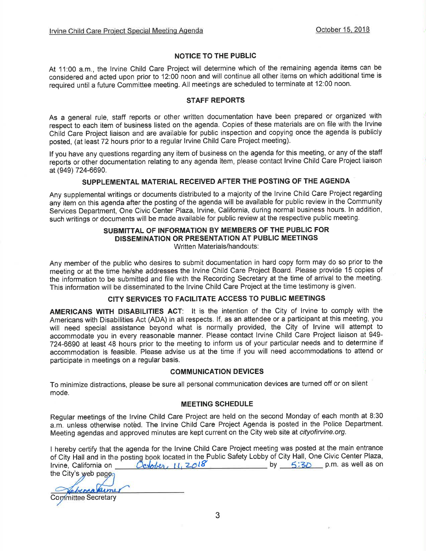#### NOTIGE TO THE PUBLIC

At 11:00 a.m., the lrvine Child Care Project will determine which of the remaining agenda items can be considered and acted upon prior to 12:00 noon and will continue all other items on which additional time is required until a future Committee meeting. All meetings are scheduled to terminate at 12:00 noon.

#### STAFF REPORTS

As a general rule, staff reports or other written documentation have been prepared or organized with respect to each item of business listed on the agenda. Copies of these materials are on file with the lrvine Child Care Project liaison and are available for public inspection and copying once the agenda is publicly posted, (at least 72 hours prior to a regular lrvine Child Care Project meeting).

lf you have any questions regarding any item of business on the agenda for this meeting, or any of the staff reports or other documentation relating to any agenda item, please contact lrvine Child Care Project liaison at (949) 724-6690.

#### SUPPLEMENTAL MATERIAL RECEIVED AFTER THE POSTING OF THE AGENDA

Any supplemental writings or documents distributed to a majority of the lrvine Child Care Project regarding any item on this agenda after the posting of the agenda will be available for public review in the Community Services Department, One Civic Center Plaza, Irvine, California, during normal business hours. In addition, such writings or documents will be made available for public review at the respective public meeting.

#### SUBMITTAL OF INFORMATION BY MEMBERS OF THE PUBLIC FOR DISSEMINATION OR PRESENTATION AT PUBLIC MEETINGS Written Materials/handouts:

Any member of the public who desires to submit documentation in hard copy form may do so prior to the meeting or at the time he/she addresses the lrvine Child Care Project Board. Please provide 15 copies of the information to be submitted and file with the Recording Secretary at the time of arrival to the meeting. This information will be disseminated to the lrvine Child Care Project at the time testimony is given.

#### CITY SERVICES TO FACILITATE ACCESS TO PUBLIC MEETINGS

AMERICANS WITH DISABILITIES ACT: It is the intention of the City of Irvine to comply with the Americans with Disabilities Act (ADA) in all respects. lf, as an attendee or a participant at this meeting, you will need special assistance beyond what is normally provided, the City of lrvine will attempt to accommodate you in every reasonable manner. Please contact lrvine Child Care Project liaison at 949- 724-6690 at least 48 hours prior to the meeting to inform us of your particular needs and to determine if accommodation is feasible. Please advise us at the time if you will need accommodations to attend or participate in meetings on a regular basis.

#### COMMUNICATION DEVICES

To minimize distractions, please be sure all personal communication devices are turned off or on silent mode.

#### MEETING SCHEDULE

Regular meetings of the lrvine Child Care Project are held on the second Monday of each month at 8:30 a.m. unless otherwise notêd. The lrvine Child Care Project Agenda is posted in the Police Department. Meeting agendas and approved minutes are kept current on the City web site at cityofirvine.org.

I hereby certify that the agenda for the lrvine Child Care Project meeting was posted at the main entrance of City Hall and in th <sup>e</sup>oostino book located ' t'\"LJt¡. tt. in the Public Safety Lobby of City Hall, One Civic Center Plaza, lrvine, California on the City's web  $\mathsf{bv} = 5:3\mathsf{D}$  p.m. as well as on October, 11, 2018

aimer berra

**Committee Secretary**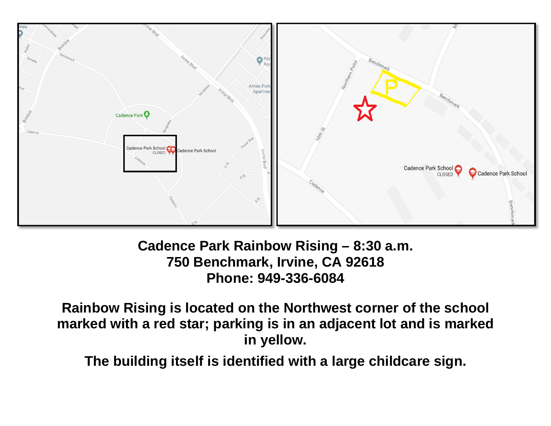

# **Cadence Park Rainbow Rising – 8:30 a.m. 750 Benchmark, Irvine, CA 92618 Phone: 949-336-6084**

**Rainbow Rising is located on the Northwest corner of the school marked with a red star; parking is in an adjacent lot and is marked in yellow.** 

**The building itself is identified with a large childcare sign.**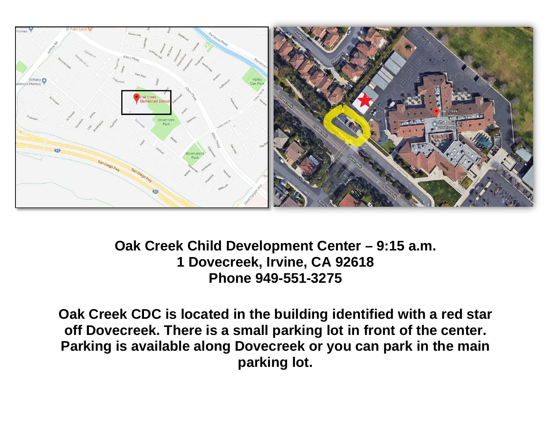

**Oak Creek Child Development Center – 9:15 a.m. 1 Dovecreek, Irvine, CA 92618 Phone 949-551-3275** 

**Oak Creek CDC is located in the building identified with a red star off Dovecreek. There is a small parking lot in front of the center. Parking is available along Dovecreek or you can park in the main parking lot.**